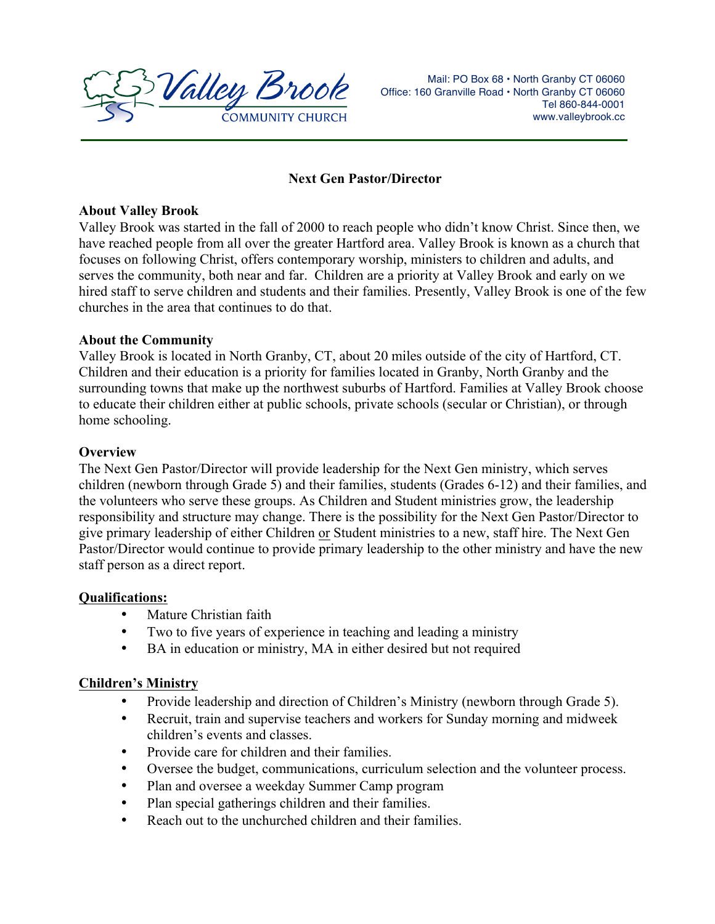

Mail: PO Box 68 · North Granby CT 06060 Office: 160 Granville Road • North Granby CT 06060 Tel 860-844-0001 www.valleybrook.cc

### **Next Gen Pastor/Director**

### **About Valley Brook**

Valley Brook was started in the fall of 2000 to reach people who didn't know Christ. Since then, we have reached people from all over the greater Hartford area. Valley Brook is known as a church that focuses on following Christ, offers contemporary worship, ministers to children and adults, and serves the community, both near and far. Children are a priority at Valley Brook and early on we hired staff to serve children and students and their families. Presently, Valley Brook is one of the few churches in the area that continues to do that.

### **About the Community**

Valley Brook is located in North Granby, CT, about 20 miles outside of the city of Hartford, CT. Children and their education is a priority for families located in Granby, North Granby and the surrounding towns that make up the northwest suburbs of Hartford. Families at Valley Brook choose to educate their children either at public schools, private schools (secular or Christian), or through home schooling.

# **Overview**

The Next Gen Pastor/Director will provide leadership for the Next Gen ministry, which serves children (newborn through Grade 5) and their families, students (Grades 6-12) and their families, and the volunteers who serve these groups. As Children and Student ministries grow, the leadership responsibility and structure may change. There is the possibility for the Next Gen Pastor/Director to give primary leadership of either Children or Student ministries to a new, staff hire. The Next Gen Pastor/Director would continue to provide primary leadership to the other ministry and have the new staff person as a direct report.

### **Qualifications:**

- Mature Christian faith
- Two to five years of experience in teaching and leading a ministry
- BA in education or ministry, MA in either desired but not required

### **Children's Ministry**

- Provide leadership and direction of Children's Ministry (newborn through Grade 5).
- Recruit, train and supervise teachers and workers for Sunday morning and midweek children's events and classes.
- Provide care for children and their families.
- Oversee the budget, communications, curriculum selection and the volunteer process.
- Plan and oversee a weekday Summer Camp program
- Plan special gatherings children and their families.
- Reach out to the unchurched children and their families.